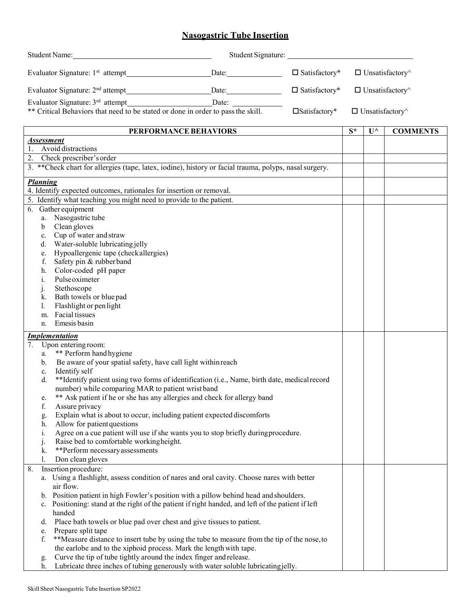## **Nasogastric Tube Insertion**

|                                                                                                         | Student Name:                                                                                                                                |                       |                               |       |                       |                 |  |  |
|---------------------------------------------------------------------------------------------------------|----------------------------------------------------------------------------------------------------------------------------------------------|-----------------------|-------------------------------|-------|-----------------------|-----------------|--|--|
|                                                                                                         | Evaluator Signature: $1st$ attempt<br>Date: Date:<br>$\Box$ Satisfactory*                                                                    |                       | $\Box$ Unsatisfactory $\land$ |       |                       |                 |  |  |
|                                                                                                         | Evaluator Signature: 2 <sup>nd</sup> attempt<br>$\square$ Satisfactory*<br>$\sum_{n=1}^{\infty}$ Date:                                       |                       | $\Box$ Unsatisfactory $\land$ |       |                       |                 |  |  |
|                                                                                                         |                                                                                                                                              |                       |                               |       |                       |                 |  |  |
|                                                                                                         | ** Critical Behaviors that need to be stated or done in order to pass the skill.<br>$\square$ Satisfactory*<br>$\Box$ Unsatisfactory $\land$ |                       |                               |       |                       |                 |  |  |
|                                                                                                         |                                                                                                                                              | PERFORMANCE BEHAVIORS |                               | $S^*$ | $\mathbf{U}^{\wedge}$ | <b>COMMENTS</b> |  |  |
| <b>Assessment</b><br>1. Avoid distractions                                                              |                                                                                                                                              |                       |                               |       |                       |                 |  |  |
| $\overline{2}$ . Check prescriber's order                                                               |                                                                                                                                              |                       |                               |       |                       |                 |  |  |
| 3. ** Check chart for allergies (tape, latex, iodine), history or facial trauma, polyps, nasal surgery. |                                                                                                                                              |                       |                               |       |                       |                 |  |  |
| <b>Planning</b>                                                                                         |                                                                                                                                              |                       |                               |       |                       |                 |  |  |
| 4. Identify expected outcomes, rationales for insertion or removal.                                     |                                                                                                                                              |                       |                               |       |                       |                 |  |  |
|                                                                                                         | 5. Identify what teaching you might need to provide to the patient.                                                                          |                       |                               |       |                       |                 |  |  |
|                                                                                                         | 6. Gather equipment                                                                                                                          |                       |                               |       |                       |                 |  |  |
|                                                                                                         | a. Nasogastric tube                                                                                                                          |                       |                               |       |                       |                 |  |  |
| $\mathbf b$                                                                                             | Clean gloves                                                                                                                                 |                       |                               |       |                       |                 |  |  |
| c.                                                                                                      | Cup of water and straw                                                                                                                       |                       |                               |       |                       |                 |  |  |
|                                                                                                         | Water-soluble lubricating jelly<br>d.                                                                                                        |                       |                               |       |                       |                 |  |  |
| f.                                                                                                      | Hypoallergenic tape (check allergies)<br>e.<br>Safety pin & rubberband                                                                       |                       |                               |       |                       |                 |  |  |
| h.                                                                                                      | Color-coded pH paper                                                                                                                         |                       |                               |       |                       |                 |  |  |
| i.                                                                                                      | Pulse oximeter                                                                                                                               |                       |                               |       |                       |                 |  |  |
| $\cdot$                                                                                                 | Stethoscope                                                                                                                                  |                       |                               |       |                       |                 |  |  |
| k.                                                                                                      | Bath towels or blue pad                                                                                                                      |                       |                               |       |                       |                 |  |  |
| l.                                                                                                      | Flashlight or pen light                                                                                                                      |                       |                               |       |                       |                 |  |  |
| m.                                                                                                      | Facial tissues                                                                                                                               |                       |                               |       |                       |                 |  |  |
| n.                                                                                                      | Emesis basin                                                                                                                                 |                       |                               |       |                       |                 |  |  |
|                                                                                                         | <b>Implementation</b>                                                                                                                        |                       |                               |       |                       |                 |  |  |
| 7.                                                                                                      | Upon entering room:                                                                                                                          |                       |                               |       |                       |                 |  |  |
| a.                                                                                                      | ** Perform hand hygiene                                                                                                                      |                       |                               |       |                       |                 |  |  |
| $\mathbf{b}$ .                                                                                          | Be aware of your spatial safety, have call light within reach                                                                                |                       |                               |       |                       |                 |  |  |
| c.<br>d.                                                                                                | Identify self<br>**Identify patient using two forms of identification (i.e., Name, birth date, medical record                                |                       |                               |       |                       |                 |  |  |
|                                                                                                         | number) while comparing MAR to patient wrist band                                                                                            |                       |                               |       |                       |                 |  |  |
| e.                                                                                                      | ** Ask patient if he or she has any allergies and check for allergy band                                                                     |                       |                               |       |                       |                 |  |  |
| f.                                                                                                      | Assure privacy                                                                                                                               |                       |                               |       |                       |                 |  |  |
| g.                                                                                                      | Explain what is about to occur, including patient expected discomforts                                                                       |                       |                               |       |                       |                 |  |  |
| h.                                                                                                      | Allow for patient questions                                                                                                                  |                       |                               |       |                       |                 |  |  |
| i.                                                                                                      | Agree on a cue patient will use if she wants you to stop briefly during procedure.                                                           |                       |                               |       |                       |                 |  |  |
| j.                                                                                                      | Raise bed to comfortable workingheight.                                                                                                      |                       |                               |       |                       |                 |  |  |
| k.                                                                                                      | **Perform necessary assessments                                                                                                              |                       |                               |       |                       |                 |  |  |
| 1.                                                                                                      | Don clean gloves                                                                                                                             |                       |                               |       |                       |                 |  |  |
| 8.                                                                                                      | Insertion procedure:                                                                                                                         |                       |                               |       |                       |                 |  |  |
|                                                                                                         | a. Using a flashlight, assess condition of nares and oral cavity. Choose nares with better<br>air flow.                                      |                       |                               |       |                       |                 |  |  |
|                                                                                                         | b. Position patient in high Fowler's position with a pillow behind head and shoulders.                                                       |                       |                               |       |                       |                 |  |  |
|                                                                                                         | Positioning: stand at the right of the patient if right handed, and left of the patient if left                                              |                       |                               |       |                       |                 |  |  |
|                                                                                                         | handed                                                                                                                                       |                       |                               |       |                       |                 |  |  |
| d.                                                                                                      | Place bath towels or blue pad over chest and give tissues to patient.                                                                        |                       |                               |       |                       |                 |  |  |
| e.                                                                                                      | Prepare split tape                                                                                                                           |                       |                               |       |                       |                 |  |  |
| f.                                                                                                      | **Measure distance to insert tube by using the tube to measure from the tip of the nose, to                                                  |                       |                               |       |                       |                 |  |  |
|                                                                                                         | the earlobe and to the xiphoid process. Mark the length with tape.                                                                           |                       |                               |       |                       |                 |  |  |
| g.                                                                                                      | Curve the tip of tube tightly around the index finger and release.                                                                           |                       |                               |       |                       |                 |  |  |
| h.                                                                                                      | Lubricate three inches of tubing generously with water soluble lubricating jelly.                                                            |                       |                               |       |                       |                 |  |  |